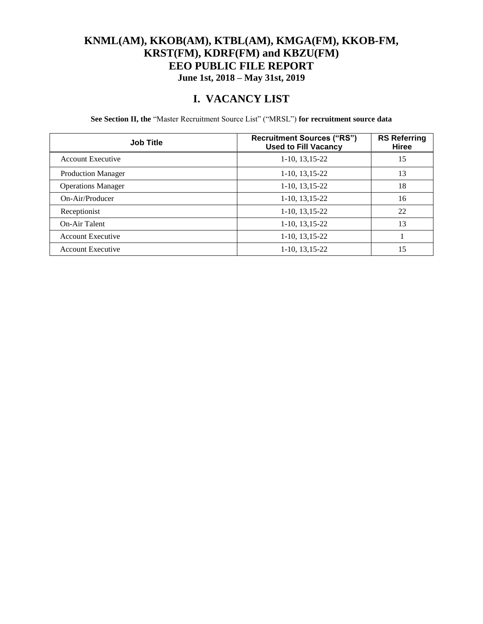### **KNML(AM), KKOB(AM), KTBL(AM), KMGA(FM), KKOB-FM, KRST(FM), KDRF(FM) and KBZU(FM) EEO PUBLIC FILE REPORT June 1st, 2018 – May 31st, 2019**

### **I. VACANCY LIST**

**See Section II, the** "Master Recruitment Source List" ("MRSL") **for recruitment source data**

| <b>Job Title</b>          | <b>Recruitment Sources ("RS")</b><br><b>Used to Fill Vacancy</b> | <b>RS Referring</b><br>Hiree |
|---------------------------|------------------------------------------------------------------|------------------------------|
| <b>Account Executive</b>  | 1-10, 13, 15-22                                                  | 15                           |
| <b>Production Manager</b> | $1-10$ , $13,15-22$                                              | 13                           |
| <b>Operations Manager</b> | $1-10$ , $13,15-22$                                              | 18                           |
| On-Air/Producer           | 1-10, 13, 15-22                                                  | 16                           |
| Receptionist              | $1-10$ , $13,15-22$                                              | 22                           |
| On-Air Talent             | $1-10$ , $13,15-22$                                              | 13                           |
| <b>Account Executive</b>  | 1-10, 13, 15-22                                                  |                              |
| <b>Account Executive</b>  | 1-10, 13, 15-22                                                  | 15                           |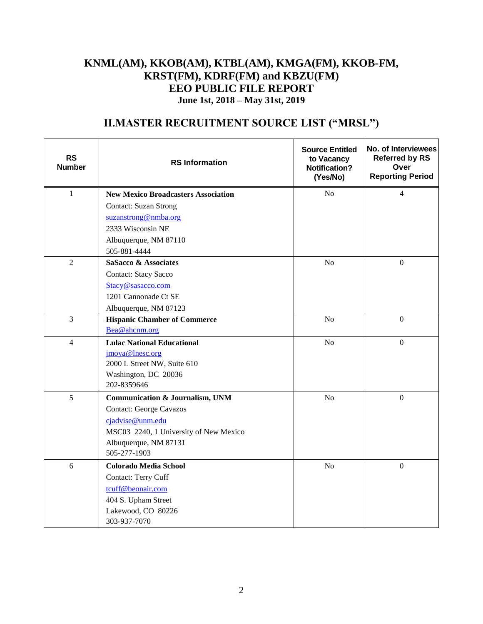### **KNML(AM), KKOB(AM), KTBL(AM), KMGA(FM), KKOB-FM, KRST(FM), KDRF(FM) and KBZU(FM) EEO PUBLIC FILE REPORT June 1st, 2018 – May 31st, 2019**

## **II.MASTER RECRUITMENT SOURCE LIST ("MRSL")**

| <b>RS</b><br><b>Number</b> | <b>RS</b> Information                               | <b>Source Entitled</b><br>to Vacancy<br><b>Notification?</b><br>(Yes/No) | No. of Interviewees<br><b>Referred by RS</b><br>Over<br><b>Reporting Period</b> |
|----------------------------|-----------------------------------------------------|--------------------------------------------------------------------------|---------------------------------------------------------------------------------|
| $\mathbf{1}$               | <b>New Mexico Broadcasters Association</b>          | N <sub>o</sub>                                                           | 4                                                                               |
|                            | <b>Contact: Suzan Strong</b>                        |                                                                          |                                                                                 |
|                            | suzanstrong@nmba.org                                |                                                                          |                                                                                 |
|                            | 2333 Wisconsin NE                                   |                                                                          |                                                                                 |
|                            | Albuquerque, NM 87110                               |                                                                          |                                                                                 |
|                            | 505-881-4444                                        |                                                                          |                                                                                 |
| $\overline{2}$             | SaSacco & Associates                                | N <sub>o</sub>                                                           | $\mathbf{0}$                                                                    |
|                            | <b>Contact: Stacy Sacco</b>                         |                                                                          |                                                                                 |
|                            | Stacy@sasacco.com                                   |                                                                          |                                                                                 |
|                            | 1201 Cannonade Ct SE                                |                                                                          |                                                                                 |
|                            | Albuquerque, NM 87123                               |                                                                          |                                                                                 |
| $\overline{3}$             | <b>Hispanic Chamber of Commerce</b>                 | N <sub>o</sub>                                                           | $\overline{0}$                                                                  |
|                            | Bea@ahcnm.org                                       |                                                                          |                                                                                 |
| $\overline{4}$             | <b>Lulac National Educational</b>                   | N <sub>o</sub>                                                           | $\overline{0}$                                                                  |
|                            | jmoya@lnesc.org                                     |                                                                          |                                                                                 |
|                            | 2000 L Street NW, Suite 610<br>Washington, DC 20036 |                                                                          |                                                                                 |
|                            | 202-8359646                                         |                                                                          |                                                                                 |
| 5                          | <b>Communication &amp; Journalism, UNM</b>          | N <sub>o</sub>                                                           | $\mathbf{0}$                                                                    |
|                            | <b>Contact: George Cavazos</b>                      |                                                                          |                                                                                 |
|                            | cjadvise@unm.edu                                    |                                                                          |                                                                                 |
|                            | MSC03 2240, 1 University of New Mexico              |                                                                          |                                                                                 |
|                            | Albuquerque, NM 87131                               |                                                                          |                                                                                 |
|                            | 505-277-1903                                        |                                                                          |                                                                                 |
| 6                          | <b>Colorado Media School</b>                        | N <sub>o</sub>                                                           | $\overline{0}$                                                                  |
|                            | Contact: Terry Cuff                                 |                                                                          |                                                                                 |
|                            | tcuff@beonair.com                                   |                                                                          |                                                                                 |
|                            | 404 S. Upham Street                                 |                                                                          |                                                                                 |
|                            | Lakewood, CO 80226                                  |                                                                          |                                                                                 |
|                            | 303-937-7070                                        |                                                                          |                                                                                 |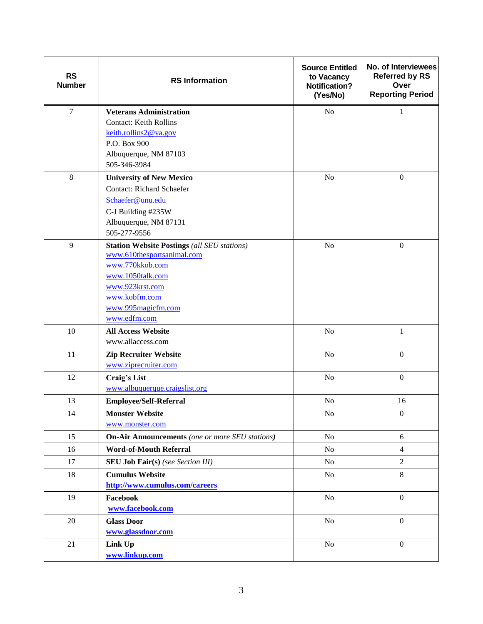| <b>RS</b><br><b>Number</b> | <b>RS</b> Information                                  | <b>Source Entitled</b><br>to Vacancy<br><b>Notification?</b><br>(Yes/No) | No. of Interviewees<br><b>Referred by RS</b><br>Over<br><b>Reporting Period</b> |
|----------------------------|--------------------------------------------------------|--------------------------------------------------------------------------|---------------------------------------------------------------------------------|
| $\overline{7}$             | <b>Veterans Administration</b>                         | N <sub>o</sub>                                                           | 1                                                                               |
|                            | <b>Contact: Keith Rollins</b>                          |                                                                          |                                                                                 |
|                            | keith.rollins2@va.gov                                  |                                                                          |                                                                                 |
|                            | P.O. Box 900                                           |                                                                          |                                                                                 |
|                            | Albuquerque, NM 87103<br>505-346-3984                  |                                                                          |                                                                                 |
| $\,8\,$                    | <b>University of New Mexico</b>                        | N <sub>o</sub>                                                           | $\mathbf{0}$                                                                    |
|                            | <b>Contact: Richard Schaefer</b>                       |                                                                          |                                                                                 |
|                            | Schaefer@unu.edu                                       |                                                                          |                                                                                 |
|                            | C-J Building #235W                                     |                                                                          |                                                                                 |
|                            | Albuquerque, NM 87131                                  |                                                                          |                                                                                 |
|                            | 505-277-9556                                           |                                                                          |                                                                                 |
| 9                          | <b>Station Website Postings (all SEU stations)</b>     | N <sub>o</sub>                                                           | $\boldsymbol{0}$                                                                |
|                            | www.610thesportsanimal.com                             |                                                                          |                                                                                 |
|                            | www.770kkob.com                                        |                                                                          |                                                                                 |
|                            | www.1050talk.com                                       |                                                                          |                                                                                 |
|                            | www.923krst.com                                        |                                                                          |                                                                                 |
|                            | www.kobfm.com<br>www.995magicfm.com                    |                                                                          |                                                                                 |
|                            | www.edfm.com                                           |                                                                          |                                                                                 |
| 10                         | <b>All Access Website</b>                              | N <sub>o</sub>                                                           | $\mathbf{1}$                                                                    |
|                            | www.allaccess.com                                      |                                                                          |                                                                                 |
| 11                         | <b>Zip Recruiter Website</b>                           | N <sub>o</sub>                                                           | $\boldsymbol{0}$                                                                |
|                            | www.ziprecruiter.com                                   |                                                                          |                                                                                 |
| 12                         | Craig's List                                           | $\rm No$                                                                 | $\boldsymbol{0}$                                                                |
|                            | www.albuquerque.craigslist.org                         |                                                                          |                                                                                 |
| 13                         | <b>Employee/Self-Referral</b>                          | No                                                                       | 16                                                                              |
| 14                         | <b>Monster Website</b>                                 | $\rm No$                                                                 | $\boldsymbol{0}$                                                                |
|                            | www.monster.com                                        |                                                                          |                                                                                 |
| 15                         | <b>On-Air Announcements</b> (one or more SEU stations) | No                                                                       | 6                                                                               |
| 16                         | <b>Word-of-Mouth Referral</b>                          | N <sub>o</sub>                                                           | $\overline{4}$                                                                  |
| 17                         | <b>SEU Job Fair(s)</b> (see Section III)               | <b>No</b>                                                                | $\mathfrak{2}$                                                                  |
| 18                         | <b>Cumulus Website</b>                                 | N <sub>o</sub>                                                           | 8                                                                               |
|                            | http://www.cumulus.com/careers                         |                                                                          |                                                                                 |
| 19                         | Facebook                                               | <b>No</b>                                                                | $\mathbf{0}$                                                                    |
|                            | www.facebook.com                                       |                                                                          |                                                                                 |
| 20                         | <b>Glass Door</b>                                      | <b>No</b>                                                                | $\overline{0}$                                                                  |
|                            | www.glassdoor.com                                      |                                                                          |                                                                                 |
| 21                         | Link Up                                                | No                                                                       | $\mathbf{0}$                                                                    |
|                            | www.linkup.com                                         |                                                                          |                                                                                 |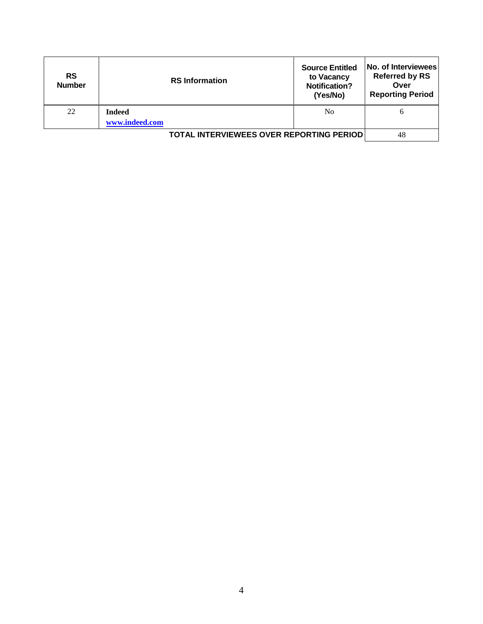| <b>RS</b><br><b>Number</b> | <b>RS</b> Information                           | <b>Source Entitled</b><br>to Vacancy<br><b>Notification?</b><br>(Yes/No) | No. of Interviewees<br><b>Referred by RS</b><br>Over<br><b>Reporting Period</b> |
|----------------------------|-------------------------------------------------|--------------------------------------------------------------------------|---------------------------------------------------------------------------------|
| 22                         | <b>Indeed</b><br>www.indeed.com                 | N <sub>0</sub>                                                           | b                                                                               |
|                            | <b>TOTAL INTERVIEWEES OVER REPORTING PERIOD</b> |                                                                          | 48                                                                              |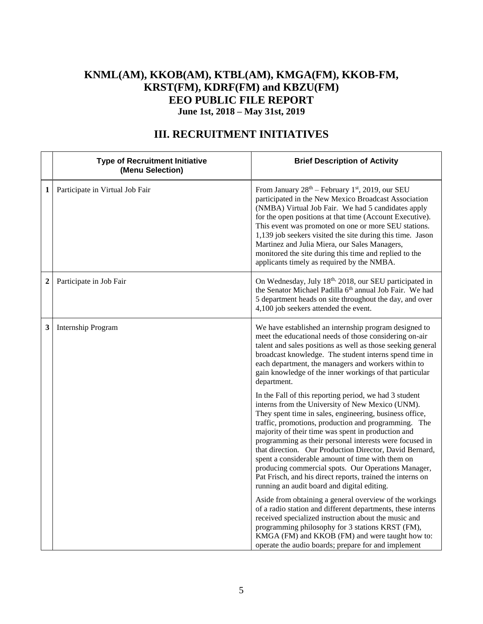### **KNML(AM), KKOB(AM), KTBL(AM), KMGA(FM), KKOB-FM, KRST(FM), KDRF(FM) and KBZU(FM) EEO PUBLIC FILE REPORT June 1st, 2018 – May 31st, 2019**

|                | <b>Type of Recruitment Initiative</b><br>(Menu Selection) | <b>Brief Description of Activity</b>                                                                                                                                                                                                                                                                                                                                                                                                                                                                                                                                                                                              |
|----------------|-----------------------------------------------------------|-----------------------------------------------------------------------------------------------------------------------------------------------------------------------------------------------------------------------------------------------------------------------------------------------------------------------------------------------------------------------------------------------------------------------------------------------------------------------------------------------------------------------------------------------------------------------------------------------------------------------------------|
| 1              | Participate in Virtual Job Fair                           | From January 28 <sup>th</sup> – February 1 <sup>st</sup> , 2019, our SEU<br>participated in the New Mexico Broadcast Association<br>(NMBA) Virtual Job Fair. We had 5 candidates apply<br>for the open positions at that time (Account Executive).<br>This event was promoted on one or more SEU stations.<br>1,139 job seekers visited the site during this time. Jason<br>Martinez and Julia Miera, our Sales Managers,<br>monitored the site during this time and replied to the<br>applicants timely as required by the NMBA.                                                                                                 |
| $\overline{2}$ | Participate in Job Fair                                   | On Wednesday, July 18th, 2018, our SEU participated in<br>the Senator Michael Padilla 6 <sup>th</sup> annual Job Fair. We had<br>5 department heads on site throughout the day, and over<br>4,100 job seekers attended the event.                                                                                                                                                                                                                                                                                                                                                                                                 |
| 3              | Internship Program                                        | We have established an internship program designed to<br>meet the educational needs of those considering on-air<br>talent and sales positions as well as those seeking general<br>broadcast knowledge. The student interns spend time in<br>each department, the managers and workers within to<br>gain knowledge of the inner workings of that particular<br>department.                                                                                                                                                                                                                                                         |
|                |                                                           | In the Fall of this reporting period, we had 3 student<br>interns from the University of New Mexico (UNM).<br>They spent time in sales, engineering, business office,<br>traffic, promotions, production and programming. The<br>majority of their time was spent in production and<br>programming as their personal interests were focused in<br>that direction. Our Production Director, David Bernard,<br>spent a considerable amount of time with them on<br>producing commercial spots. Our Operations Manager,<br>Pat Frisch, and his direct reports, trained the interns on<br>running an audit board and digital editing. |
|                |                                                           | Aside from obtaining a general overview of the workings<br>of a radio station and different departments, these interns<br>received specialized instruction about the music and<br>programming philosophy for 3 stations KRST (FM),<br>KMGA (FM) and KKOB (FM) and were taught how to:<br>operate the audio boards; prepare for and implement                                                                                                                                                                                                                                                                                      |

# **III. RECRUITMENT INITIATIVES**